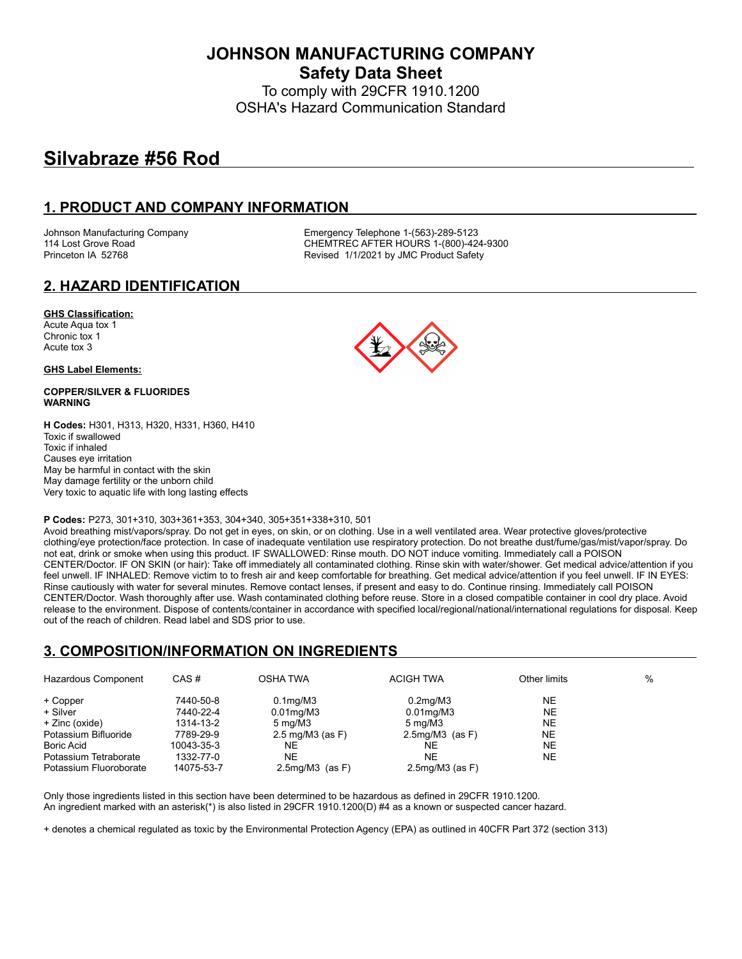**JOHNSON MANUFACTURING COMPANY Safety Data Sheet**

To comply with 29CFR 1910.1200 OSHA's Hazard Communication Standard

# **Silvabraze #56 Rod**

### **1. PRODUCT AND COMPANY INFORMATION**

Johnson Manufacturing Company **Emergency Telephone 1-(563)-289-5123**<br>114 Lost Grove Road **COMPAN COMPANE CONTREC AFTER HOURS** 1-(800)-42 CHEMTREC AFTER HOURS 1-(800)-424-9300 Princeton IA 52768 **Revised 1/1/2021 by JMC Product Safety** 

### **2. HAZARD IDENTIFICATION**

#### **GHS Classification:**

Acute Aqua tox 1 Chronic tox 1 Acute tox 3

#### **GHS Label Elements:**

#### **COPPER/SILVER & FLUORIDES WARNING**

**H Codes:** H301, H313, H320, H331, H360, H410 Toxic if swallowed Toxic if inhaled Causes eye irritation May be harmful in contact with the skin May damage fertility or the unborn child Very toxic to aquatic life with long lasting effects

#### **P Codes:** P273, 301+310, 303+361+353, 304+340, 305+351+338+310, 501

Avoid breathing mist/vapors/spray. Do not get in eyes, on skin, or on clothing. Use in a well ventilated area. Wear protective gloves/protective clothing/eye protection/face protection. In case of inadequate ventilation use respiratory protection. Do not breathe dust/fume/gas/mist/vapor/spray. Do not eat, drink or smoke when using this product. IF SWALLOWED: Rinse mouth. DO NOT induce vomiting. Immediately call a POISON CENTER/Doctor. IF ON SKIN (or hair): Take off immediately all contaminated clothing. Rinse skin with water/shower. Get medical advice/attention if you feel unwell. IF INHALED: Remove victim to to fresh air and keep comfortable for breathing. Get medical advice/attention if you feel unwell. IF IN EYES: Rinse cautiously with water for several minutes. Remove contact lenses, if present and easy to do. Continue rinsing. Immediately call POISON CENTER/Doctor. Wash thoroughly after use. Wash contaminated clothing before reuse. Store in a closed compatible container in cool dry place. Avoid release to the environment. Dispose of contents/container in accordance with specified local/regional/national/international regulations for disposal. Keep out of the reach of children. Read label and SDS prior to use.

#### **3. COMPOSITION/INFORMATION ON INGREDIENTS**

| Hazardous Component    | CAS#       | <b>OSHA TWA</b>                   | <b>ACIGH TWA</b>      | Other limits | % |
|------------------------|------------|-----------------------------------|-----------------------|--------------|---|
| + Copper               | 7440-50-8  | $0.1$ mg/M $3$                    | $0.2$ mg/M $3$        | NE           |   |
| + Silver               | 7440-22-4  | $0.01$ mg/M $3$                   | $0.01$ mg/M $3$       | <b>NE</b>    |   |
| + Zinc (oxide)         | 1314-13-2  | $5 \text{ mg}/\text{M}3$          | $5 \,\mathrm{mq/M3}$  | NE           |   |
| Potassium Bifluoride   | 7789-29-9  | $2.5 \text{ mg}/\text{M}3$ (as F) | $2.5mg/M3$ (as F)     | NE.          |   |
| <b>Boric Acid</b>      | 10043-35-3 | NE                                | NE                    | <b>NE</b>    |   |
| Potassium Tetraborate  | 1332-77-0  | NE                                | <b>NE</b>             | <b>NE</b>    |   |
| Potassium Fluoroborate | 14075-53-7 | $2.5$ mg/M $3$ (as F)             | $2.5$ mg/M $3$ (as F) |              |   |

Only those ingredients listed in this section have been determined to be hazardous as defined in 29CFR 1910.1200. An ingredient marked with an asterisk(\*) is also listed in 29CFR 1910.1200(D) #4 as a known or suspected cancer hazard.

+ denotes a chemical regulated as toxic by the Environmental Protection Agency (EPA) as outlined in 40CFR Part 372 (section 313)

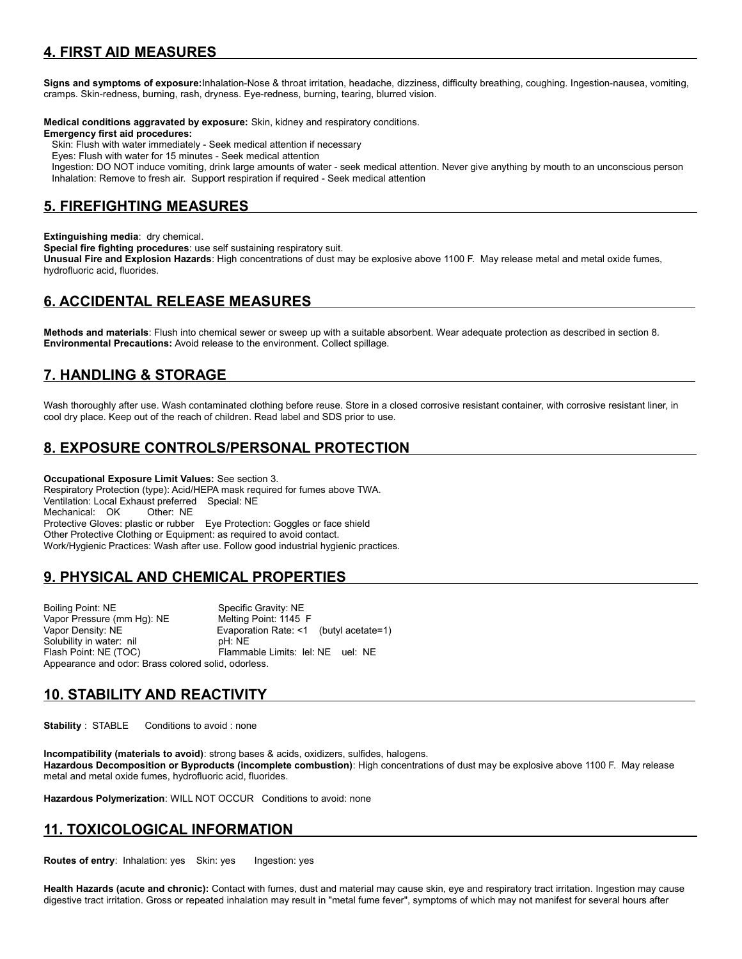## **4. FIRST AID MEASURES**

**Signs and symptoms of exposure:**Inhalation-Nose & throat irritation, headache, dizziness, difficulty breathing, coughing. Ingestion-nausea, vomiting, cramps. Skin-redness, burning, rash, dryness. Eye-redness, burning, tearing, blurred vision.

**Medical conditions aggravated by exposure:** Skin, kidney and respiratory conditions.

#### **Emergency first aid procedures:**

Skin: Flush with water immediately - Seek medical attention if necessary

Eyes: Flush with water for 15 minutes - Seek medical attention

 Ingestion: DO NOT induce vomiting, drink large amounts of water - seek medical attention. Never give anything by mouth to an unconscious person Inhalation: Remove to fresh air. Support respiration if required - Seek medical attention

### **5. FIREFIGHTING MEASURES**

**Extinguishing media**: dry chemical.

**Special fire fighting procedures**: use self sustaining respiratory suit.

**Unusual Fire and Explosion Hazards**: High concentrations of dust may be explosive above 1100 F. May release metal and metal oxide fumes, hydrofluoric acid, fluorides.

## **6. ACCIDENTAL RELEASE MEASURES**

**Methods and materials**: Flush into chemical sewer or sweep up with a suitable absorbent. Wear adequate protection as described in section 8. **Environmental Precautions:** Avoid release to the environment. Collect spillage.

## **7. HANDLING & STORAGE**

Wash thoroughly after use. Wash contaminated clothing before reuse. Store in a closed corrosive resistant container, with corrosive resistant liner, in cool dry place. Keep out of the reach of children. Read label and SDS prior to use.

## **8. EXPOSURE CONTROLS/PERSONAL PROTECTION**

**Occupational Exposure Limit Values:** See section 3. Respiratory Protection (type): Acid/HEPA mask required for fumes above TWA. Ventilation: Local Exhaust preferred Special: NE Mechanical: OK Other: NE Protective Gloves: plastic or rubber Eye Protection: Goggles or face shield Other Protective Clothing or Equipment: as required to avoid contact. Work/Hygienic Practices: Wash after use. Follow good industrial hygienic practices.

## **9. PHYSICAL AND CHEMICAL PROPERTIES**

Boiling Point: NE Specific Gravity: NE<br>
Vapor Pressure (mm Hg): NE Melting Point: 1145 F Vapor Pressure (mm Hg): NE Vapor Density: NE Evaporation Rate: <1 (butyl acetate=1) Solubility in water: nil blue pH: NE<br>Flash Point: NE (TOC) Flamma Flammable Limits: lel: NE uel: NE Appearance and odor: Brass colored solid, odorless.

## **10. STABILITY AND REACTIVITY**

**Stability** : STABLE Conditions to avoid : none

**Incompatibility (materials to avoid)**: strong bases & acids, oxidizers, sulfides, halogens. **Hazardous Decomposition or Byproducts (incomplete combustion)**: High concentrations of dust may be explosive above 1100 F. May release metal and metal oxide fumes, hydrofluoric acid, fluorides.

**Hazardous Polymerization**: WILL NOT OCCUR Conditions to avoid: none

## **11. TOXICOLOGICAL INFORMATION**

**Routes of entry: Inhalation: yes Skin: yes Ingestion: yes** 

**Health Hazards (acute and chronic):** Contact with fumes, dust and material may cause skin, eye and respiratory tract irritation. Ingestion may cause digestive tract irritation. Gross or repeated inhalation may result in "metal fume fever", symptoms of which may not manifest for several hours after